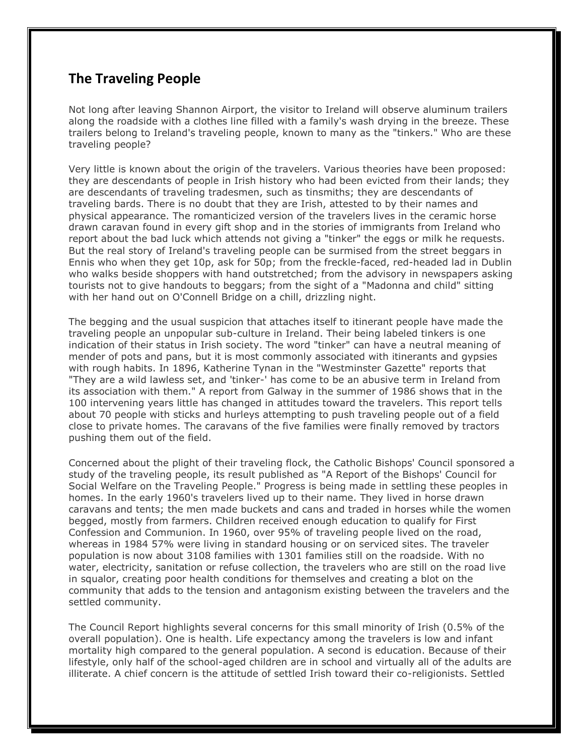## **The Traveling People**

Not long after leaving Shannon Airport, the visitor to Ireland will observe aluminum trailers along the roadside with a clothes line filled with a family's wash drying in the breeze. These trailers belong to Ireland's traveling people, known to many as the "tinkers." Who are these traveling people?

Very little is known about the origin of the travelers. Various theories have been proposed: they are descendants of people in Irish history who had been evicted from their lands; they are descendants of traveling tradesmen, such as tinsmiths; they are descendants of traveling bards. There is no doubt that they are Irish, attested to by their names and physical appearance. The romanticized version of the travelers lives in the ceramic horse drawn caravan found in every gift shop and in the stories of immigrants from Ireland who report about the bad luck which attends not giving a "tinker" the eggs or milk he requests. But the real story of Ireland's traveling people can be surmised from the street beggars in Ennis who when they get 10p, ask for 50p; from the freckle-faced, red-headed lad in Dublin who walks beside shoppers with hand outstretched; from the advisory in newspapers asking tourists not to give handouts to beggars; from the sight of a "Madonna and child" sitting with her hand out on O'Connell Bridge on a chill, drizzling night.

The begging and the usual suspicion that attaches itself to itinerant people have made the traveling people an unpopular sub-culture in Ireland. Their being labeled tinkers is one indication of their status in Irish society. The word "tinker" can have a neutral meaning of mender of pots and pans, but it is most commonly associated with itinerants and gypsies with rough habits. In 1896, Katherine Tynan in the "Westminster Gazette" reports that "They are a wild lawless set, and 'tinker-' has come to be an abusive term in Ireland from its association with them." A report from Galway in the summer of 1986 shows that in the 100 intervening years little has changed in attitudes toward the travelers. This report tells about 70 people with sticks and hurleys attempting to push traveling people out of a field close to private homes. The caravans of the five families were finally removed by tractors pushing them out of the field.

Concerned about the plight of their traveling flock, the Catholic Bishops' Council sponsored a study of the traveling people, its result published as "A Report of the Bishops' Council for Social Welfare on the Traveling People." Progress is being made in settling these peoples in homes. In the early 1960's travelers lived up to their name. They lived in horse drawn caravans and tents; the men made buckets and cans and traded in horses while the women begged, mostly from farmers. Children received enough education to qualify for First Confession and Communion. In 1960, over 95% of traveling people lived on the road, whereas in 1984 57% were living in standard housing or on serviced sites. The traveler population is now about 3108 families with 1301 families still on the roadside. With no water, electricity, sanitation or refuse collection, the travelers who are still on the road live in squalor, creating poor health conditions for themselves and creating a blot on the community that adds to the tension and antagonism existing between the travelers and the settled community.

The Council Report highlights several concerns for this small minority of Irish (0.5% of the overall population). One is health. Life expectancy among the travelers is low and infant mortality high compared to the general population. A second is education. Because of their lifestyle, only half of the school-aged children are in school and virtually all of the adults are illiterate. A chief concern is the attitude of settled Irish toward their co-religionists. Settled